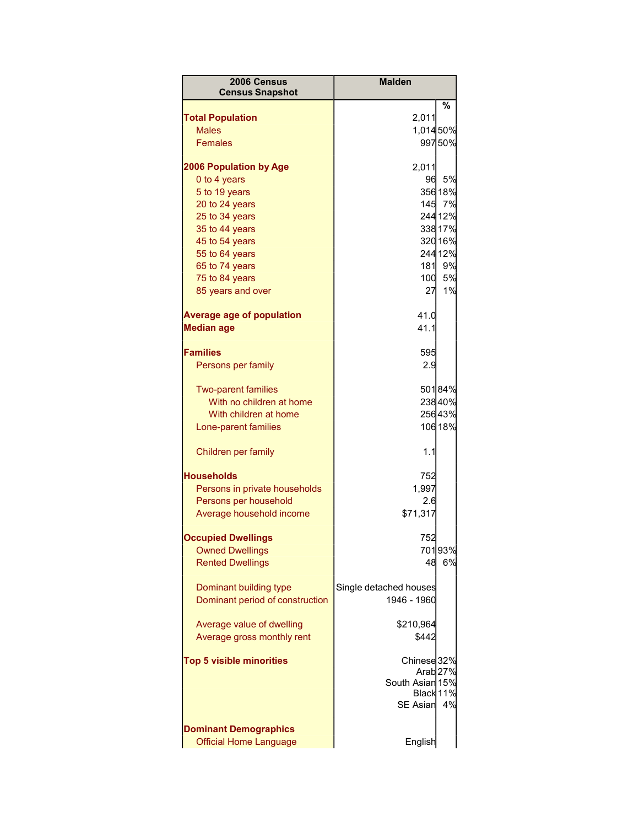| 2006 Census<br><b>Census Snapshot</b>                 | <b>Malden</b>          |                     |
|-------------------------------------------------------|------------------------|---------------------|
|                                                       |                        | %                   |
| <b>Total Population</b>                               | 2,011                  |                     |
| <b>Males</b>                                          | 1,014 50%              |                     |
| <b>Females</b>                                        |                        | 99750%              |
| <b>2006 Population by Age</b>                         | 2,011                  |                     |
| 0 to 4 years                                          | 96                     | 5%                  |
| 5 to 19 years                                         |                        | 356 18%             |
| 20 to 24 years                                        |                        | 145 7%              |
| 25 to 34 years                                        |                        | 244 12%             |
| 35 to 44 years                                        |                        | 338 17%             |
| 45 to 54 years                                        |                        | 320 16%             |
| 55 to 64 years                                        |                        | 244 12%             |
| 65 to 74 years                                        | 181                    | 9%                  |
| 75 to 84 years                                        | 100                    | 5%                  |
| 85 years and over                                     | 27                     | 1%                  |
| <b>Average age of population</b><br><b>Median age</b> | 41.0<br>41.1           |                     |
|                                                       |                        |                     |
| <b>Families</b>                                       | 595                    |                     |
| Persons per family                                    | 2.9                    |                     |
| <b>Two-parent families</b>                            |                        | 50184%              |
| With no children at home                              |                        | 23840%              |
| With children at home                                 |                        | 25643%              |
| Lone-parent families                                  |                        | 106 18%             |
| Children per family                                   | 1.1                    |                     |
| <b>Households</b>                                     | 752                    |                     |
| Persons in private households                         | 1,997                  |                     |
| Persons per household                                 | 2.6                    |                     |
| Average household income                              | \$71,317               |                     |
| <b>Occupied Dwellings</b>                             | 752                    |                     |
| <b>Owned Dwellings</b>                                |                        | 70193%              |
| <b>Rented Dwellings</b>                               | 48                     | 6%                  |
| Dominant building type                                | Single detached houses |                     |
| Dominant period of construction                       | 1946 - 1960            |                     |
| Average value of dwelling                             | \$210,964              |                     |
| Average gross monthly rent                            | \$442                  |                     |
| <b>Top 5 visible minorities</b>                       | Chinese 32%            |                     |
|                                                       |                        | Arab <sub>27%</sub> |
|                                                       | South Asian 15%        |                     |
|                                                       | Black 11%              |                     |
|                                                       | <b>SE Asian</b>        | 4%                  |
| <b>Dominant Demographics</b>                          |                        |                     |
| <b>Official Home Language</b>                         | English                |                     |